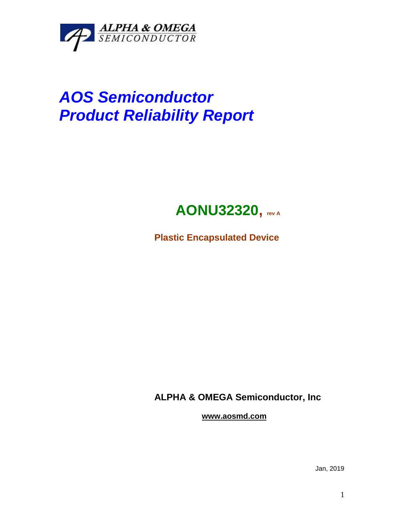

# *AOS Semiconductor Product Reliability Report*

## **AONU32320, rev <sup>A</sup>**

**Plastic Encapsulated Device**

**ALPHA & OMEGA Semiconductor, Inc**

**www.aosmd.com**

Jan, 2019